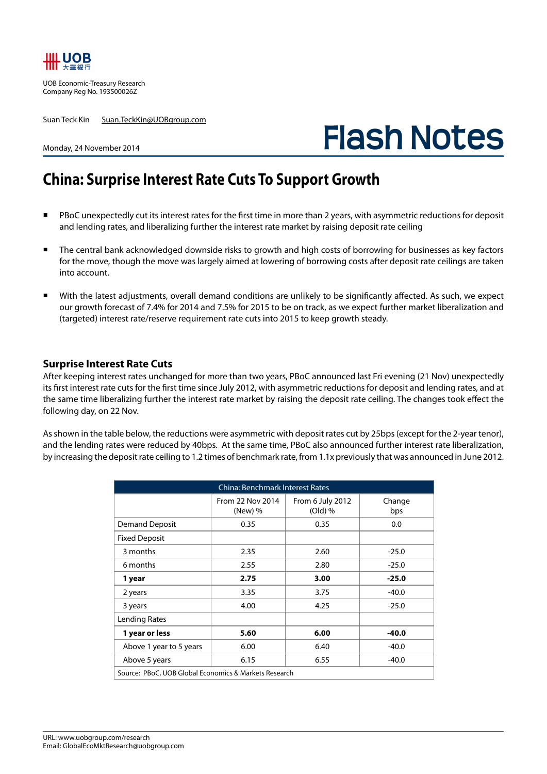

UOB Economic-Treasury Research Company Reg No. 193500026Z

Suan Teck Kin Suan.TeckKin@UOBgroup.com

# **Flash Notes**

#### Monday, 24 November 2014

# **China: Surprise Interest Rate Cuts To Support Growth**

- PBoC unexpectedly cut its interest rates for the first time in more than 2 years, with asymmetric reductions for deposit and lending rates, and liberalizing further the interest rate market by raising deposit rate ceiling
- The central bank acknowledged downside risks to growth and high costs of borrowing for businesses as key factors for the move, though the move was largely aimed at lowering of borrowing costs after deposit rate ceilings are taken into account.
- With the latest adjustments, overall demand conditions are unlikely to be significantly affected. As such, we expect our growth forecast of 7.4% for 2014 and 7.5% for 2015 to be on track, as we expect further market liberalization and (targeted) interest rate/reserve requirement rate cuts into 2015 to keep growth steady.

### **Surprise Interest Rate Cuts**

After keeping interest rates unchanged for more than two years, PBoC announced last Fri evening (21 Nov) unexpectedly its first interest rate cuts for the first time since July 2012, with asymmetric reductions for deposit and lending rates, and at the same time liberalizing further the interest rate market by raising the deposit rate ceiling. The changes took effect the following day, on 22 Nov.

As shown in the table below, the reductions were asymmetric with deposit rates cut by 25bps (except for the 2-year tenor), and the lending rates were reduced by 40bps. At the same time, PBoC also announced further interest rate liberalization, by increasing the deposit rate ceiling to 1.2 times of benchmark rate, from 1.1x previously that was announced in June 2012.

| <b>China: Benchmark Interest Rates</b>                |                             |                               |               |  |  |  |  |
|-------------------------------------------------------|-----------------------------|-------------------------------|---------------|--|--|--|--|
|                                                       | From 22 Nov 2014<br>(New) % | From 6 July 2012<br>$(Old)$ % | Change<br>bps |  |  |  |  |
| <b>Demand Deposit</b>                                 | 0.35                        | 0.35                          | 0.0           |  |  |  |  |
| <b>Fixed Deposit</b>                                  |                             |                               |               |  |  |  |  |
| 3 months                                              | 2.35                        | 2.60                          | $-25.0$       |  |  |  |  |
| 6 months                                              | 2.55                        | 2.80                          | $-25.0$       |  |  |  |  |
| 1 year                                                | 2.75                        | 3.00                          | $-25.0$       |  |  |  |  |
| 2 years                                               | 3.35                        | 3.75                          | $-40.0$       |  |  |  |  |
| 3 years                                               | 4.00                        | 4.25                          | $-25.0$       |  |  |  |  |
| Lending Rates                                         |                             |                               |               |  |  |  |  |
| 1 year or less                                        | 5.60                        | 6.00                          | $-40.0$       |  |  |  |  |
| Above 1 year to 5 years                               | 6.00                        | 6.40                          | $-40.0$       |  |  |  |  |
| Above 5 years                                         | 6.15                        | 6.55                          | $-40.0$       |  |  |  |  |
| Source: PBoC, UOB Global Economics & Markets Research |                             |                               |               |  |  |  |  |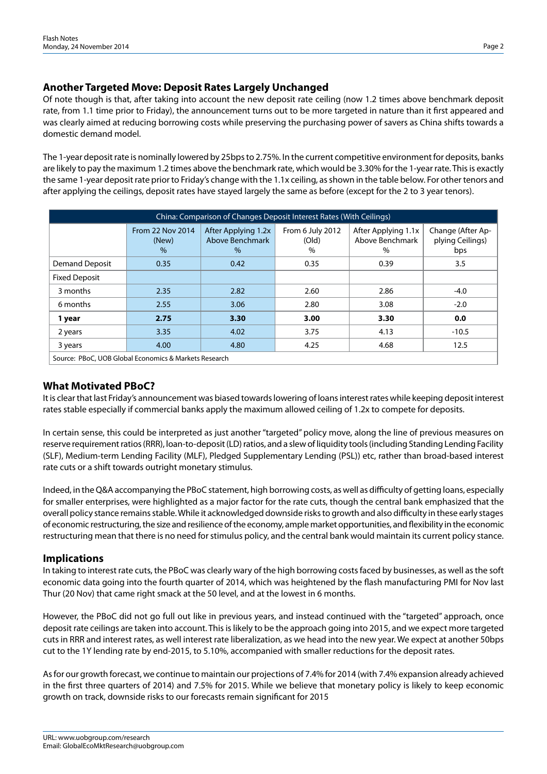# **Another Targeted Move: Deposit Rates Largely Unchanged**

Of note though is that, after taking into account the new deposit rate ceiling (now 1.2 times above benchmark deposit rate, from 1.1 time prior to Friday), the announcement turns out to be more targeted in nature than it first appeared and was clearly aimed at reducing borrowing costs while preserving the purchasing power of savers as China shifts towards a domestic demand model.

The 1-year deposit rate is nominally lowered by 25bps to 2.75%. In the current competitive environment for deposits, banks are likely to pay the maximum 1.2 times above the benchmark rate, which would be 3.30% for the 1-year rate. This is exactly the same 1-year deposit rate prior to Friday's change with the 1.1x ceiling, as shown in the table below. For other tenors and after applying the ceilings, deposit rates have stayed largely the same as before (except for the 2 to 3 year tenors).

| China: Comparison of Changes Deposit Interest Rates (With Ceilings) |                                   |                                                         |                                   |                                                |                                              |  |  |
|---------------------------------------------------------------------|-----------------------------------|---------------------------------------------------------|-----------------------------------|------------------------------------------------|----------------------------------------------|--|--|
|                                                                     | From 22 Nov 2014<br>(New)<br>$\%$ | After Applying 1.2x<br>Above Benchmark<br>$\frac{0}{0}$ | From 6 July 2012<br>(Old)<br>$\%$ | After Applying 1.1x<br>Above Benchmark<br>$\%$ | Change (After Ap-<br>plying Ceilings)<br>bps |  |  |
| Demand Deposit                                                      | 0.35                              | 0.42                                                    | 0.35                              | 0.39                                           | 3.5                                          |  |  |
| <b>Fixed Deposit</b>                                                |                                   |                                                         |                                   |                                                |                                              |  |  |
| 3 months                                                            | 2.35                              | 2.82                                                    | 2.60                              | 2.86                                           | $-4.0$                                       |  |  |
| 6 months                                                            | 2.55                              | 3.06                                                    | 2.80                              | 3.08                                           | $-2.0$                                       |  |  |
| 1 year                                                              | 2.75                              | 3.30                                                    | 3.00                              | 3.30                                           | 0.0                                          |  |  |
| 2 years                                                             | 3.35                              | 4.02                                                    | 3.75                              | 4.13                                           | $-10.5$                                      |  |  |
| 3 years                                                             | 4.00                              | 4.80                                                    | 4.25                              | 4.68                                           | 12.5                                         |  |  |
| Source: BRoC, HOR Global Economics & Markets Besoarch               |                                   |                                                         |                                   |                                                |                                              |  |  |

Source: PBoC, UOB Global Economics & Markets Research

# **What Motivated PBoC?**

It is clear that last Friday's announcement was biased towards lowering of loans interest rates while keeping deposit interest rates stable especially if commercial banks apply the maximum allowed ceiling of 1.2x to compete for deposits.

In certain sense, this could be interpreted as just another "targeted" policy move, along the line of previous measures on reserve requirement ratios (RRR), loan-to-deposit (LD) ratios, and a slew of liquidity tools (including Standing Lending Facility (SLF), Medium-term Lending Facility (MLF), Pledged Supplementary Lending (PSL)) etc, rather than broad-based interest rate cuts or a shift towards outright monetary stimulus.

Indeed, in the Q&A accompanying the PBoC statement, high borrowing costs, as well as difficulty of getting loans, especially for smaller enterprises, were highlighted as a major factor for the rate cuts, though the central bank emphasized that the overall policy stance remains stable. While it acknowledged downside risks to growth and also difficulty in these early stages of economic restructuring, the size and resilience of the economy, ample market opportunities, and flexibility in the economic restructuring mean that there is no need for stimulus policy, and the central bank would maintain its current policy stance.

# **Implications**

In taking to interest rate cuts, the PBoC was clearly wary of the high borrowing costs faced by businesses, as well as the soft economic data going into the fourth quarter of 2014, which was heightened by the flash manufacturing PMI for Nov last Thur (20 Nov) that came right smack at the 50 level, and at the lowest in 6 months.

However, the PBoC did not go full out like in previous years, and instead continued with the "targeted" approach, once deposit rate ceilings are taken into account. This is likely to be the approach going into 2015, and we expect more targeted cuts in RRR and interest rates, as well interest rate liberalization, as we head into the new year. We expect at another 50bps cut to the 1Y lending rate by end-2015, to 5.10%, accompanied with smaller reductions for the deposit rates.

As for our growth forecast, we continue to maintain our projections of 7.4% for 2014 (with 7.4% expansion already achieved in the first three quarters of 2014) and 7.5% for 2015. While we believe that monetary policy is likely to keep economic growth on track, downside risks to our forecasts remain significant for 2015